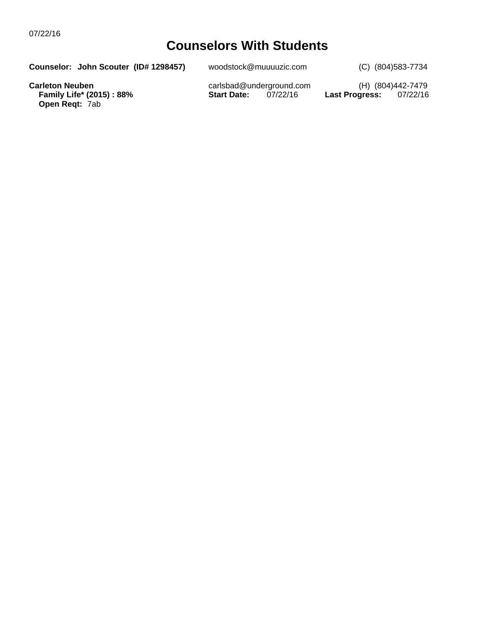#### **Counselors With Students**

|  | Counselor: John Scouter (ID# 1298457) | woodstock@muuuuzic.com | (C) (804) 583-7734 |
|--|---------------------------------------|------------------------|--------------------|
|  |                                       |                        |                    |

**Open Reqt:** 7ab

**Carleton Neuben** carlsbad@underground.com (H) (804)442-7479 **Family Life\* (2015) : 88% Start Date:** 07/22/16 **Last Progress:** 07/22/16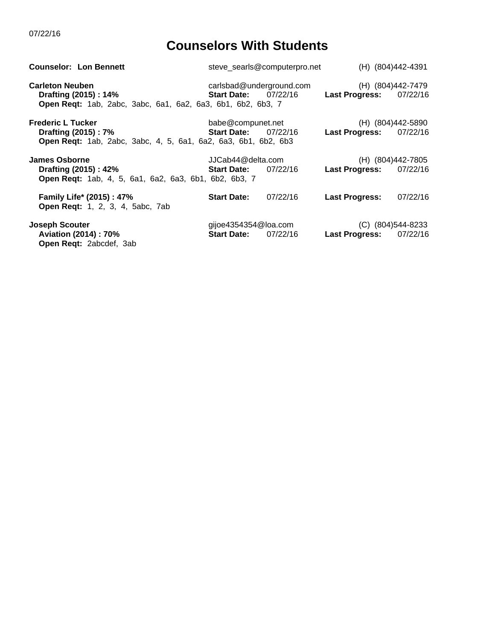07/22/16

## **Counselors With Students**

| <b>Counselor: Lon Bennett</b>                                                                                         | steve_searls@computerpro.net                               | (H) (804)442-4391                              |
|-----------------------------------------------------------------------------------------------------------------------|------------------------------------------------------------|------------------------------------------------|
| <b>Carleton Neuben</b><br>Drafting (2015) : 14%<br><b>Open Regt:</b> 1ab, 2abc, 3abc, 6a1, 6a2, 6a3, 6b1, 6b2, 6b3, 7 | carlsbad@underground.com<br>07/22/16<br><b>Start Date:</b> | (H) (804)442-7479<br>Last Progress: 07/22/16   |
| <b>Frederic L Tucker</b><br>Drafting (2015): 7%<br>Open Reqt: 1ab, 2abc, 3abc, 4, 5, 6a1, 6a2, 6a3, 6b1, 6b2, 6b3     | babe@compunet.net<br><b>Start Date: 07/22/16</b>           | (H) (804)442-5890<br>Last Progress: 07/22/16   |
| <b>James Osborne</b><br>Drafting (2015) : 42%<br>Open Reqt: 1ab, 4, 5, 6a1, 6a2, 6a3, 6b1, 6b2, 6b3, 7                | JJCab44@delta.com<br><b>Start Date:</b> 07/22/16           | (H) (804)442-7805<br>Last Progress: 07/22/16   |
| Family Life* (2015): 47%<br>Open Reqt: 1, 2, 3, 4, 5abc, 7ab                                                          | <b>Start Date:</b><br>07/22/16                             | 07/22/16<br><b>Last Progress:</b>              |
| <b>Joseph Scouter</b><br><b>Aviation (2014): 70%</b><br>Open Reqt: 2abcdef, 3ab                                       | gijoe4354354@loa.com<br><b>Start Date: 07/22/16</b>        | $(C)$ (804)544-8233<br>Last Progress: 07/22/16 |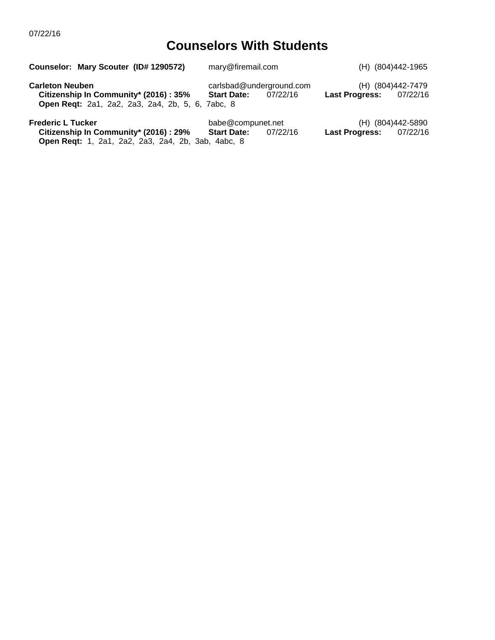#### 07/22/16

# **Counselors With Students**

| Counselor: Mary Scouter (ID# 1290572)                                                                                      | mary@firemail.com                                          | (H) (804)442-1965                            |  |  |
|----------------------------------------------------------------------------------------------------------------------------|------------------------------------------------------------|----------------------------------------------|--|--|
| <b>Carleton Neuben</b><br>Citizenship In Community* (2016): 35%<br><b>Open Reqt:</b> 2a1, 2a2, 2a3, 2a4, 2b, 5, 6, 7abc, 8 | carlsbad@underground.com<br><b>Start Date:</b><br>07/22/16 | (H) (804)442-7479<br>Last Progress: 07/22/16 |  |  |
| <b>Frederic L Tucker</b><br>Citizenship In Community* (2016): 29%<br>Open Reqt: 1, 2a1, 2a2, 2a3, 2a4, 2b, 3ab, 4abc, 8    | babe@compunet.net<br><b>Start Date:</b><br>07/22/16        | (H) (804)442-5890<br>Last Progress: 07/22/16 |  |  |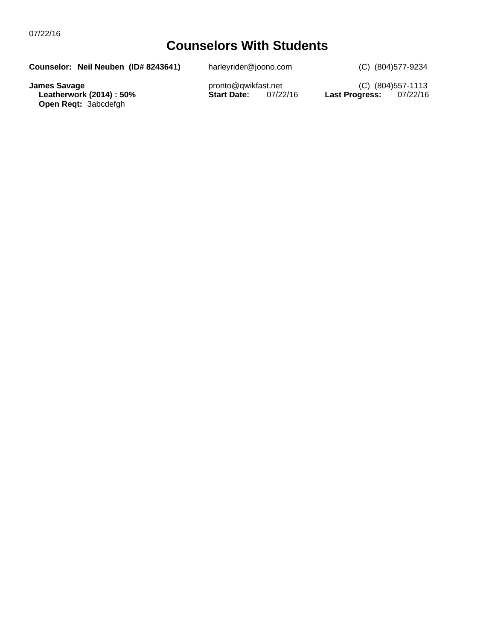#### **Counselors With Students**

**Counselor: Neil Neuben (ID# 8243641)** harleyrider@joono.com (C) (804)577-9234

**Leatherwork (2014) : 50% Open Reqt:** 3abcdefgh

**James Savage** pronto@qwikfast.net (C) (804)557-1113<br>**Leatherwork (2014) : 50% Start Date:** 07/22/16 **Last Progress:** 07/22/16